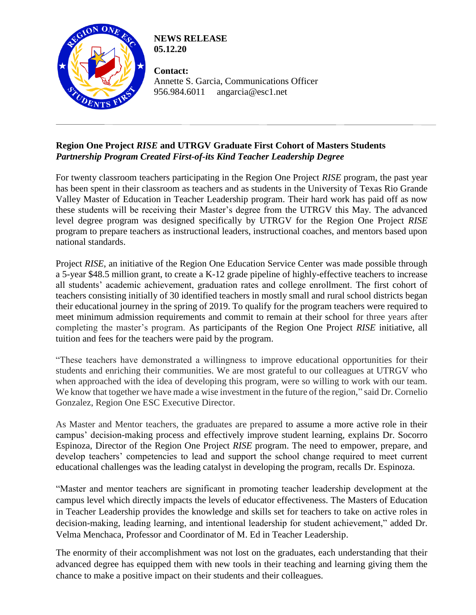

**NEWS RELEASE 05.12.20**

**Contact:**  Annette S. Garcia, Communications Officer 956.984.6011 angarcia@esc1.net

## **Region One Project** *RISE* **and UTRGV Graduate First Cohort of Masters Students** *Partnership Program Created First-of-its Kind Teacher Leadership Degree*

For twenty classroom teachers participating in the Region One Project *RISE* program, the past year has been spent in their classroom as teachers and as students in the University of Texas Rio Grande Valley Master of Education in Teacher Leadership program. Their hard work has paid off as now these students will be receiving their Master's degree from the UTRGV this May. The advanced level degree program was designed specifically by UTRGV for the Region One Project *RISE* program to prepare teachers as instructional leaders, instructional coaches, and mentors based upon national standards.

Project *RISE*, an initiative of the Region One Education Service Center was made possible through a 5-year \$48.5 million grant, to create a K-12 grade pipeline of highly-effective teachers to increase all students' academic achievement, graduation rates and college enrollment. The first cohort of teachers consisting initially of 30 identified teachers in mostly small and rural school districts began their educational journey in the spring of 2019. To qualify for the program teachers were required to meet minimum admission requirements and commit to remain at their school for three years after completing the master's program. As participants of the Region One Project *RISE* initiative, all tuition and fees for the teachers were paid by the program.

"These teachers have demonstrated a willingness to improve educational opportunities for their students and enriching their communities. We are most grateful to our colleagues at UTRGV who when approached with the idea of developing this program, were so willing to work with our team. We know that together we have made a wise investment in the future of the region," said Dr. Cornelio Gonzalez, Region One ESC Executive Director.

As Master and Mentor teachers, the graduates are prepared to assume a more active role in their campus' decision-making process and effectively improve student learning, explains Dr. Socorro Espinoza, Director of the Region One Project *RISE* program. The need to empower, prepare, and develop teachers' competencies to lead and support the school change required to meet current educational challenges was the leading catalyst in developing the program, recalls Dr. Espinoza.

"Master and mentor teachers are significant in promoting teacher leadership development at the campus level which directly impacts the levels of educator effectiveness. The Masters of Education in Teacher Leadership provides the knowledge and skills set for teachers to take on active roles in decision-making, leading learning, and intentional leadership for student achievement," added Dr. Velma Menchaca, Professor and Coordinator of M. Ed in Teacher Leadership.

The enormity of their accomplishment was not lost on the graduates, each understanding that their advanced degree has equipped them with new tools in their teaching and learning giving them the chance to make a positive impact on their students and their colleagues.